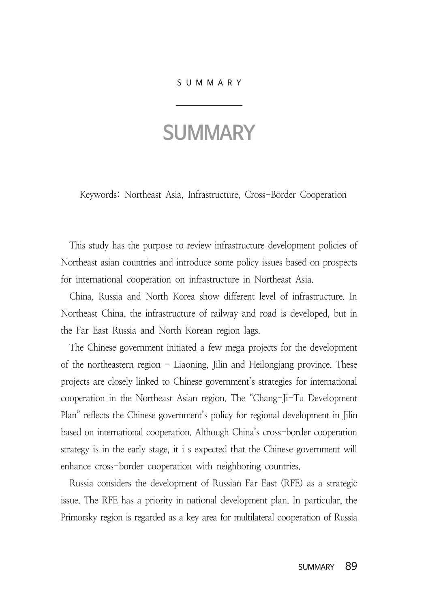## SUMMARY

## **SUMMARY**

Keywords: Northeast Asia, Infrastructure, Cross-Border Cooperation

This study has the purpose to review infrastructure development policies of Northeast asian countries and introduce some policy issues based on prospects for international cooperation on infrastructure in Northeast Asia.

China, Russia and North Korea show different level of infrastructure. In Northeast China, the infrastructure of railway and road is developed, but in the Far East Russia and North Korean region lags.

The Chinese government initiated a few mega projects for the development of the northeastern region - Liaoning, Jilin and Heilongjang province. These projects are closely linked to Chinese government's strategies for international cooperation in the Northeast Asian region. The "Chang-Ji-Tu Development Plan" reflects the Chinese government's policy for regional development in Jilin based on international cooperation. Although China's cross-border cooperation strategy is in the early stage, it i s expected that the Chinese government will enhance cross-border cooperation with neighboring countries.

Russia considers the development of Russian Far East (RFE) as a strategic issue. The RFE has a priority in national development plan. In particular, the Primorsky region is regarded as a key area for multilateral cooperation of Russia